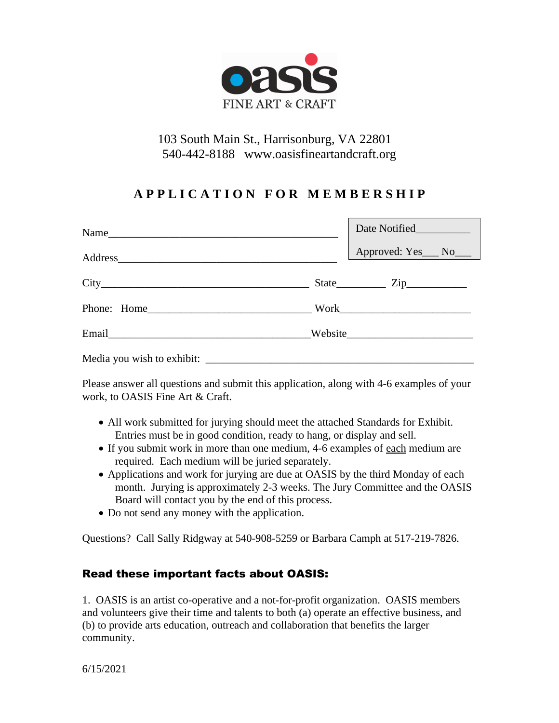

## 103 South Main St., Harrisonburg, VA 22801 540-442-8188 www.oasisfineartandcraft.org

# **A P P L I C A T I O N F O R M E M B E R S H I P**

|  | Date Notified__________ |
|--|-------------------------|
|  | Approved: Yes__ No___   |
|  |                         |
|  |                         |
|  |                         |
|  |                         |

Please answer all questions and submit this application, along with 4-6 examples of your work, to OASIS Fine Art & Craft.

- All work submitted for jurying should meet the attached Standards for Exhibit. Entries must be in good condition, ready to hang, or display and sell.
- If you submit work in more than one medium, 4-6 examples of each medium are required. Each medium will be juried separately.
- Applications and work for jurying are due at OASIS by the third Monday of each month. Jurying is approximately 2-3 weeks. The Jury Committee and the OASIS Board will contact you by the end of this process.
- Do not send any money with the application.

Questions? Call Sally Ridgway at 540-908-5259 or Barbara Camph at 517-219-7826.

### Read these important facts about OASIS:

1. OASIS is an artist co-operative and a not-for-profit organization. OASIS members and volunteers give their time and talents to both (a) operate an effective business, and (b) to provide arts education, outreach and collaboration that benefits the larger community.

6/15/2021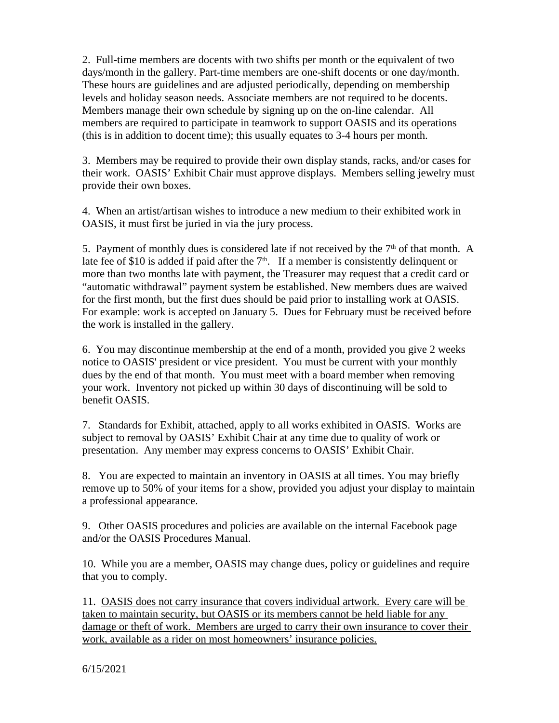2. Full-time members are docents with two shifts per month or the equivalent of two days/month in the gallery. Part-time members are one-shift docents or one day/month. These hours are guidelines and are adjusted periodically, depending on membership levels and holiday season needs. Associate members are not required to be docents. Members manage their own schedule by signing up on the on-line calendar. All members are required to participate in teamwork to support OASIS and its operations (this is in addition to docent time); this usually equates to 3-4 hours per month.

3. Members may be required to provide their own display stands, racks, and/or cases for their work. OASIS' Exhibit Chair must approve displays. Members selling jewelry must provide their own boxes.

4. When an artist/artisan wishes to introduce a new medium to their exhibited work in OASIS, it must first be juried in via the jury process.

5. Payment of monthly dues is considered late if not received by the  $7<sup>th</sup>$  of that month. A late fee of \$10 is added if paid after the  $7<sup>th</sup>$ . If a member is consistently delinquent or more than two months late with payment, the Treasurer may request that a credit card or "automatic withdrawal" payment system be established. New members dues are waived for the first month, but the first dues should be paid prior to installing work at OASIS. For example: work is accepted on January 5. Dues for February must be received before the work is installed in the gallery.

6. You may discontinue membership at the end of a month, provided you give 2 weeks notice to OASIS' president or vice president. You must be current with your monthly dues by the end of that month. You must meet with a board member when removing your work. Inventory not picked up within 30 days of discontinuing will be sold to benefit OASIS.

7. Standards for Exhibit, attached, apply to all works exhibited in OASIS. Works are subject to removal by OASIS' Exhibit Chair at any time due to quality of work or presentation. Any member may express concerns to OASIS' Exhibit Chair.

8. You are expected to maintain an inventory in OASIS at all times. You may briefly remove up to 50% of your items for a show, provided you adjust your display to maintain a professional appearance.

9. Other OASIS procedures and policies are available on the internal Facebook page and/or the OASIS Procedures Manual.

10. While you are a member, OASIS may change dues, policy or guidelines and require that you to comply.

11. OASIS does not carry insurance that covers individual artwork. Every care will be taken to maintain security, but OASIS or its members cannot be held liable for any damage or theft of work. Members are urged to carry their own insurance to cover their work, available as a rider on most homeowners' insurance policies.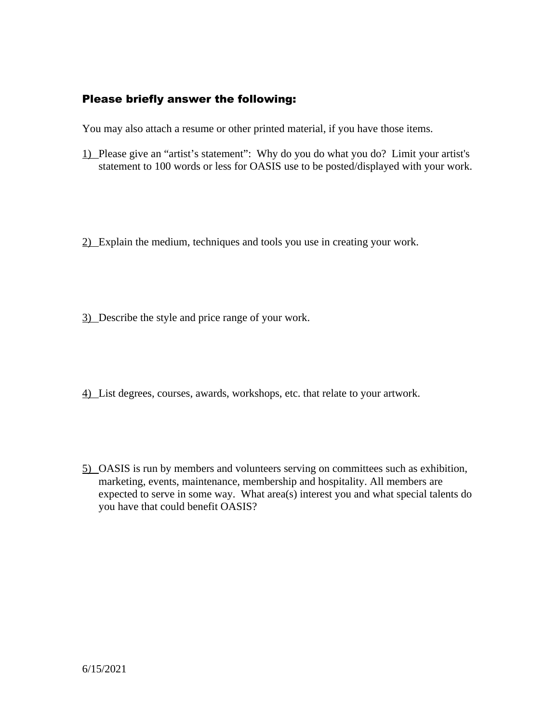### Please briefly answer the following:

You may also attach a resume or other printed material, if you have those items.

- 1) Please give an "artist's statement": Why do you do what you do? Limit your artist's statement to 100 words or less for OASIS use to be posted/displayed with your work.
- 2) Explain the medium, techniques and tools you use in creating your work.
- 3) Describe the style and price range of your work.
- 4) List degrees, courses, awards, workshops, etc. that relate to your artwork.
- 5) OASIS is run by members and volunteers serving on committees such as exhibition, marketing, events, maintenance, membership and hospitality. All members are expected to serve in some way. What area(s) interest you and what special talents do you have that could benefit OASIS?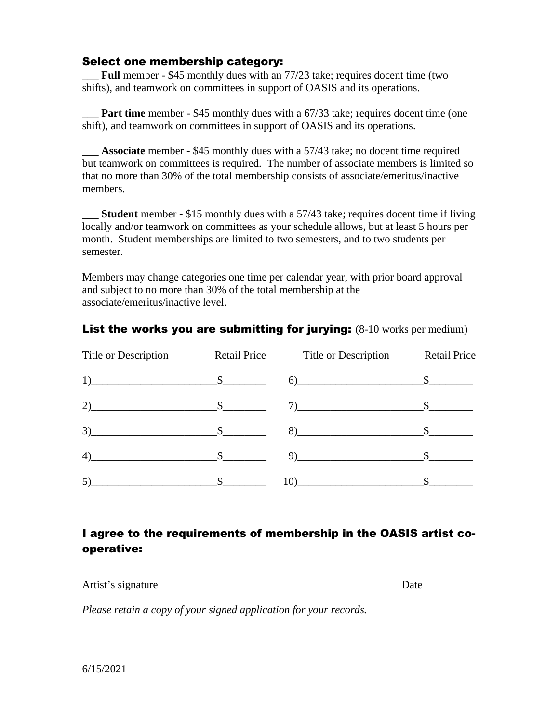#### Select one membership category:

\_\_\_ **Full** member - \$45 monthly dues with an 77/23 take; requires docent time (two shifts), and teamwork on committees in support of OASIS and its operations.

**Part time** member - \$45 monthly dues with a 67/33 take; requires docent time (one) shift), and teamwork on committees in support of OASIS and its operations.

\_\_\_ **Associate** member - \$45 monthly dues with a 57/43 take; no docent time required but teamwork on committees is required. The number of associate members is limited so that no more than 30% of the total membership consists of associate/emeritus/inactive members.

\_\_\_ **Student** member - \$15 monthly dues with a 57/43 take; requires docent time if living locally and/or teamwork on committees as your schedule allows, but at least 5 hours per month. Student memberships are limited to two semesters, and to two students per semester.

Members may change categories one time per calendar year, with prior board approval and subject to no more than 30% of the total membership at the associate/emeritus/inactive level.

| Title or Description Retail Price | <b>Title or Description</b>        | <b>Retail Price</b> |
|-----------------------------------|------------------------------------|---------------------|
| $1)$ $$$                          | $\sim$ \$                          |                     |
| 2) $\frac{\text{S}}{\text{S}}$    |                                    |                     |
| $\sim$ \$                         | $8)$ $$$                           |                     |
| 4)                                | $\sim$ $\sim$ $\sim$ $\sim$ $\sim$ |                     |
| (5)                               |                                    |                     |

### **List the works you are submitting for jurying:** (8-10 works per medium)

## I agree to the requirements of membership in the OASIS artist cooperative:

| Artist's signature | лаи |  |
|--------------------|-----|--|
|                    |     |  |

*Please retain a copy of your signed application for your records.*